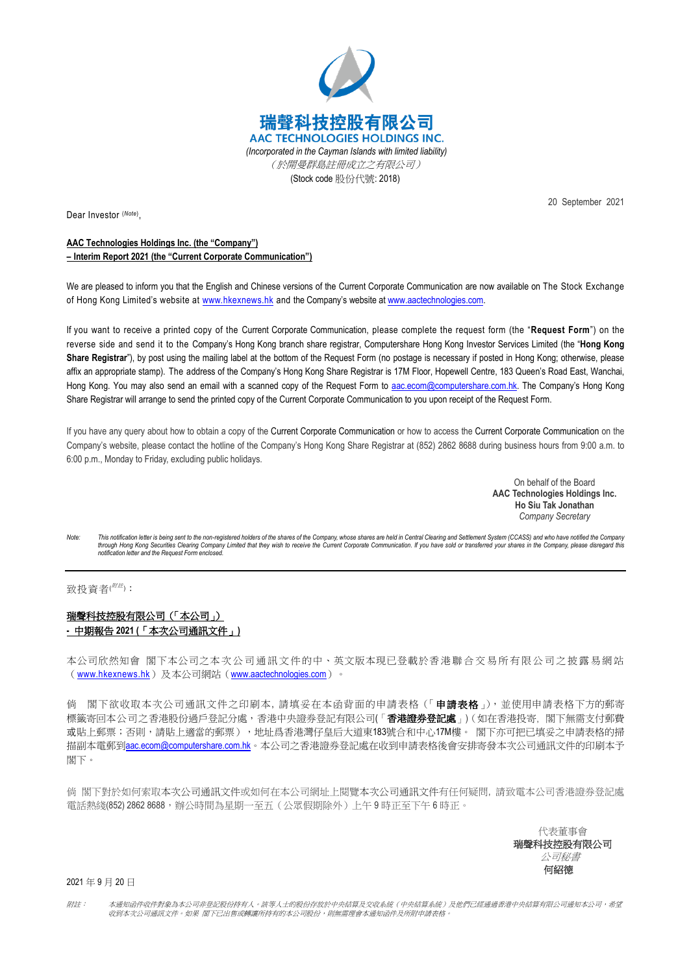

Dear Investor (*Note*) ,

20 September 2021

## **AAC Technologies Holdings Inc. (the "Company") – Interim Report 2021 (the "Current Corporate Communication")**

We are pleased to inform you that the English and Chinese versions of the Current Corporate Communication are now available on The Stock Exchange of Hong Kong Limited's website at [www.hkexnews.hk](http://www.hkexnews.hk/) and the Company's website at [www.aactechnologies.com.](http://www.aactechnologies.com/) 

If you want to receive a printed copy of the Current Corporate Communication, please complete the request form (the "**Request Form**") on the reverse side and send it to the Company's Hong Kong branch share registrar, Computershare Hong Kong Investor Services Limited (the "**Hong Kong Share Registrar**"), by post using the mailing label at the bottom of the Request Form (no postage is necessary if posted in Hong Kong; otherwise, please affix an appropriate stamp). The address of the Company's Hong Kong Share Registrar is 17M Floor, Hopewell Centre, 183 Queen's Road East, Wanchai, Hong Kong. You may also send an email with a scanned copy of the Request Form to [aac.ecom@computershare.com.hk.](mailto:aac.ecom@computershare.com.hk) The Company's Hong Kong Share Registrar will arrange to send the printed copy of the Current Corporate Communication to you upon receipt of the Request Form.

If you have any query about how to obtain a copy of the Current Corporate Communication or how to access the Current Corporate Communication on the Company's website, please contact the hotline of the Company's Hong Kong Share Registrar at (852) 2862 8688 during business hours from 9:00 a.m. to 6:00 p.m., Monday to Friday, excluding public holidays.

> On behalf of the Board **AAC Technologies Holdings Inc. Ho Siu Tak Jonathan** *Company Secretary*

Note: This notification letter is being sent to the non-registered holders of the shares of the Company, whose shares are held in Central Clearing and Settlement System (CCASS) and who have notified the Company *through Hong Kong Securities Clearing Company Limited that they wish to receive the Current Corporate Communication. If you have sold or transferred your shares in the Company, please disregard this notification letter and the Request Form enclosed.*

## 致投資者(<sup>///法)</sup>:

## 瑞聲科技控股有限公司(「本公司」) **-** 中期報告 **2021 (**「本次公司通訊文件」**)**

本公司欣然知會 閣下本公司之本次公司通訊文件的中、英文版本現已登載於香港聯合交易所有限公司之披露易網站 ([www.hkexnews.hk](http://www.hkexnews.hk/))及本公司網站([www.aactechnologies.com](http://www.aactechnologies.com/))。

倘 閣下欲收取本次公司通訊文件之印刷本, 請填妥在本函背面的申請表格(「申讀表格」), 並使用申請表格下方的郵寄 標籤寄回本公司之香港股份過戶登記分處,香港中央證券登記有限公司(「**香港證券登記處**」)(如在香港投寄,閣下無需支付郵費 或貼上郵票;否則,請貼上適當的郵票), 地址爲香港灣仔皇后大道東183號合和中心17M樓。 閣下亦可把已填妥之申請表格的掃 描副本電郵到**[aac.ecom@computershare.com.hk](mailto:aac.ecom@computershare.com.hk)**。本公司之香港證券登記處在收到申請表格後會安排寄發本次公司通訊文件的印刷本予 閣下。

倘 閣下對於如何索取本次公司通訊文件或如何在本公司網址上閱覽本次公司通訊文件有任何疑問, 請致電本公司香港證券登記處 電話熱綫(852) 2862 8688,辦公時間為星期一至五(公眾假期除外)上午 9 時正至下午 6 時正。

> 代表董事會 瑞聲科技控股有限公司 公司秘書 何紹德

2021 年 9 月 20 日

附註: 本通知函件收件對象為本公司非登記股份持有人。該等人士的股份存放於中央結算及交收系統(中央結算系統)及他們已經通過香港中央結算有限公司通知本公司,希望 收到本次公司通訊文件。如果 閣下已出售或轉讓所持有的本公司股份,則無需理會本通知函件及所附申請表格。